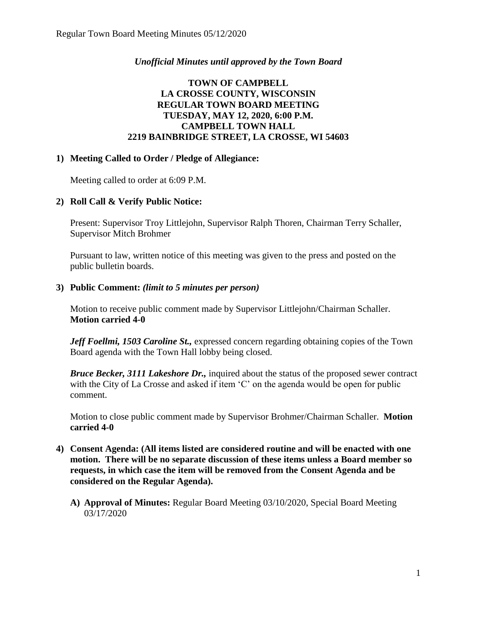# *Unofficial Minutes until approved by the Town Board*

# **TOWN OF CAMPBELL LA CROSSE COUNTY, WISCONSIN REGULAR TOWN BOARD MEETING TUESDAY, MAY 12, 2020, 6:00 P.M. CAMPBELL TOWN HALL 2219 BAINBRIDGE STREET, LA CROSSE, WI 54603**

## **1) Meeting Called to Order / Pledge of Allegiance:**

Meeting called to order at 6:09 P.M.

# **2) Roll Call & Verify Public Notice:**

Present: Supervisor Troy Littlejohn, Supervisor Ralph Thoren, Chairman Terry Schaller, Supervisor Mitch Brohmer

Pursuant to law, written notice of this meeting was given to the press and posted on the public bulletin boards.

## **3) Public Comment:** *(limit to 5 minutes per person)*

Motion to receive public comment made by Supervisor Littlejohn/Chairman Schaller. **Motion carried 4-0**

*Jeff Foellmi, 1503 Caroline St.,* expressed concern regarding obtaining copies of the Town Board agenda with the Town Hall lobby being closed.

*Bruce Becker, 3111 Lakeshore Dr.,* inquired about the status of the proposed sewer contract with the City of La Crosse and asked if item 'C' on the agenda would be open for public comment.

Motion to close public comment made by Supervisor Brohmer/Chairman Schaller. **Motion carried 4-0**

- **4) Consent Agenda: (All items listed are considered routine and will be enacted with one motion. There will be no separate discussion of these items unless a Board member so requests, in which case the item will be removed from the Consent Agenda and be considered on the Regular Agenda).**
	- **A) Approval of Minutes:** Regular Board Meeting 03/10/2020, Special Board Meeting 03/17/2020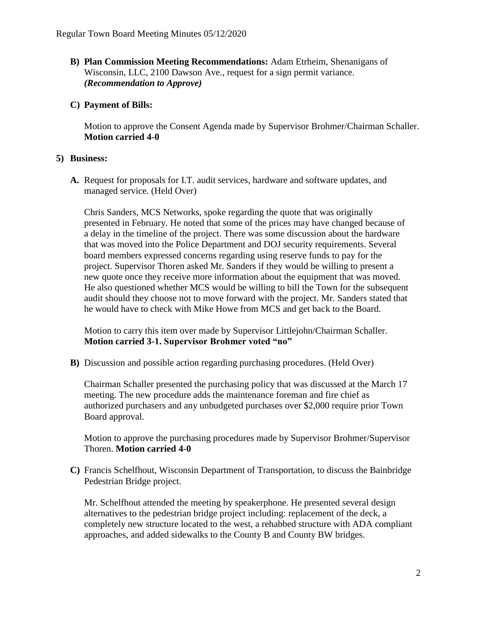- **B) Plan Commission Meeting Recommendations:** Adam Etrheim, Shenanigans of Wisconsin, LLC, 2100 Dawson Ave., request for a sign permit variance. *(Recommendation to Approve)*
- **C) Payment of Bills:**

Motion to approve the Consent Agenda made by Supervisor Brohmer/Chairman Schaller. **Motion carried 4-0** 

# **5) Business:**

**A.** Request for proposals for I.T. audit services, hardware and software updates, and managed service. (Held Over)

Chris Sanders, MCS Networks, spoke regarding the quote that was originally presented in February. He noted that some of the prices may have changed because of a delay in the timeline of the project. There was some discussion about the hardware that was moved into the Police Department and DOJ security requirements. Several board members expressed concerns regarding using reserve funds to pay for the project. Supervisor Thoren asked Mr. Sanders if they would be willing to present a new quote once they receive more information about the equipment that was moved. He also questioned whether MCS would be willing to bill the Town for the subsequent audit should they choose not to move forward with the project. Mr. Sanders stated that he would have to check with Mike Howe from MCS and get back to the Board.

Motion to carry this item over made by Supervisor Littlejohn/Chairman Schaller. **Motion carried 3-1. Supervisor Brohmer voted "no"**

**B)** Discussion and possible action regarding purchasing procedures. (Held Over)

Chairman Schaller presented the purchasing policy that was discussed at the March 17 meeting. The new procedure adds the maintenance foreman and fire chief as authorized purchasers and any unbudgeted purchases over \$2,000 require prior Town Board approval.

Motion to approve the purchasing procedures made by Supervisor Brohmer/Supervisor Thoren. **Motion carried 4-0**

**C)** Francis Schelfhout, Wisconsin Department of Transportation, to discuss the Bainbridge Pedestrian Bridge project.

Mr. Schelfhout attended the meeting by speakerphone. He presented several design alternatives to the pedestrian bridge project including: replacement of the deck, a completely new structure located to the west, a rehabbed structure with ADA compliant approaches, and added sidewalks to the County B and County BW bridges.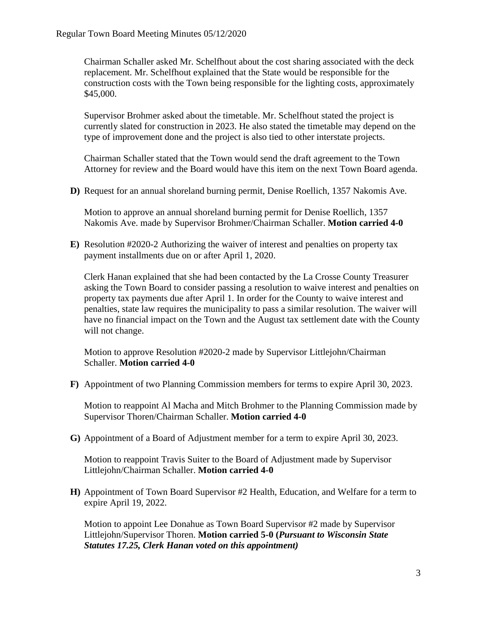Chairman Schaller asked Mr. Schelfhout about the cost sharing associated with the deck replacement. Mr. Schelfhout explained that the State would be responsible for the construction costs with the Town being responsible for the lighting costs, approximately \$45,000.

Supervisor Brohmer asked about the timetable. Mr. Schelfhout stated the project is currently slated for construction in 2023. He also stated the timetable may depend on the type of improvement done and the project is also tied to other interstate projects.

Chairman Schaller stated that the Town would send the draft agreement to the Town Attorney for review and the Board would have this item on the next Town Board agenda.

**D)** Request for an annual shoreland burning permit, Denise Roellich, 1357 Nakomis Ave.

Motion to approve an annual shoreland burning permit for Denise Roellich, 1357 Nakomis Ave. made by Supervisor Brohmer/Chairman Schaller. **Motion carried 4-0** 

**E)** Resolution #2020-2 Authorizing the waiver of interest and penalties on property tax payment installments due on or after April 1, 2020.

Clerk Hanan explained that she had been contacted by the La Crosse County Treasurer asking the Town Board to consider passing a resolution to waive interest and penalties on property tax payments due after April 1. In order for the County to waive interest and penalties, state law requires the municipality to pass a similar resolution. The waiver will have no financial impact on the Town and the August tax settlement date with the County will not change.

Motion to approve Resolution #2020-2 made by Supervisor Littlejohn/Chairman Schaller. **Motion carried 4-0**

**F)** Appointment of two Planning Commission members for terms to expire April 30, 2023.

Motion to reappoint Al Macha and Mitch Brohmer to the Planning Commission made by Supervisor Thoren/Chairman Schaller. **Motion carried 4-0**

**G)** Appointment of a Board of Adjustment member for a term to expire April 30, 2023.

Motion to reappoint Travis Suiter to the Board of Adjustment made by Supervisor Littlejohn/Chairman Schaller. **Motion carried 4-0**

**H)** Appointment of Town Board Supervisor #2 Health, Education, and Welfare for a term to expire April 19, 2022.

Motion to appoint Lee Donahue as Town Board Supervisor #2 made by Supervisor Littlejohn/Supervisor Thoren. **Motion carried 5-0 (***Pursuant to Wisconsin State Statutes 17.25, Clerk Hanan voted on this appointment)*